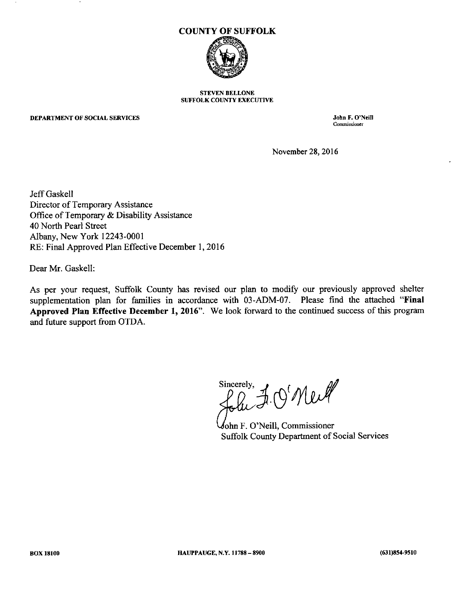

#### STEVEN BELLONE SUFFOLK COUNTY EXECUTIVE

#### DEPARTMENT OF SOCIAL SERVICES

**John F. O'Neill Commissioner**

November 28, 2016

Jeff Gaskell Director of Temporary Assistance Office of Temporary & Disability Assistance 40 North Pearl Street Albany, New York 12243-0001 RE: Final Approved Plan Effective December 1, 2016

Dear Mr. Gaskell:

As per your request, Suffolk County has revised our plan to modify our previously approved shelter supplementation plan for families in accordance with 03-ADM-07. Please find the attached "Final **Approved Plan Effective December 1,2016".** We look forward to the continued success of this program and future support from OTDA.

Sincerely, J. Q' Newl

ohn F. O'Neill, Commissioner Suffolk County Department of Social Services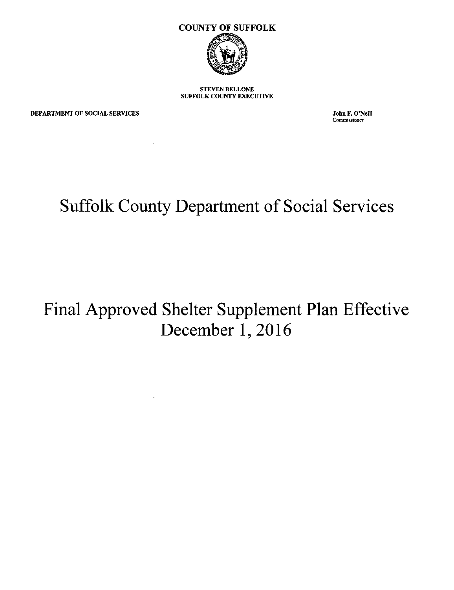

STEVEN BELLONE SUFFOLK COUNTY EXECUTNE

DEPARTMENT OF SOCIAL SERVICES

 $\sim 10$ 

**John F. O'Neill Commissioner**

# **Suffolk County Department of Social Services**

## **Final Approved Shelter Supplement Plan Effective December 1, 2016**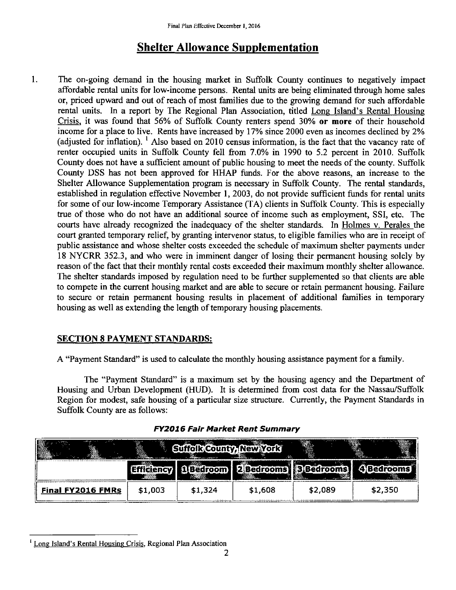### **Shelter Allowance Supplementation**

1. The on-going demand in the housing market in Suffolk County continues to negatively impact affordable rental units for low-income persons. Rental units are being eliminated through home sales or, priced upward and out of reach of most families due to the growing demand for such affordable rental units. In a report by The Regional Plan Association, titled Long Island's Rental Housing Crisis, it was found that 56% of Suffolk County renters spend 30% or more of their household income for a place to live. Rents have increased by 17% since 2000 even as incomes declined by 2% (adjusted for inflation). <sup>1</sup> Also based on 2010 census information, is the fact that the vacancy rate of renter occupied units in Suffolk County fell from 7.0% in 1990 to 5.2 percent in 2010. Suffolk County does not have a sufficient amount of public housing to meet the needs of the county. Suffolk County DSS has not been approved for HHAP funds. For the above reasons, an increase to the Shelter Allowance Supplementation program is necessary in Suffolk County. The rental standards, established in regulation effective November I, 2003, do not provide sufficient funds for rental units for some of our low-income Temporary Assistance (TA) clients in Suffolk County. This is especially true of those who do not have an additional source of income such as employment, SSI, etc. The courts have already recognized the inadequacy of the shelter standards. In Holmes v. Perales the court granted temporary relief, by granting intervenor status, to eligible families who are in receipt of public assistance and whose shelter costs exceeded the schedule of maximum shelter payments under 18 NYCRR 352.3, and who were in imminent danger of losing their permanent housing solely by reason of the fact that their monthly rental costs exceeded their maximum monthly shelter allowance. The shelter standards imposed by regulation need to be further supplemented so that clients are able to compete in the current housing market and are able to secure or retain permanent housing. Failure to secure or retain permanent housing results in placement of additional families in temporary housing as well as extending the length of temporary housing placements.

### SECTION 8 PAYMENT STANDARDS:

A "Payment Standard" is used to calculate the monthly housing assistance payment for a family.

The "Payment Standard" is a maximum set by the housing agency and the Department of Housing and Urban Development (HUD). It is determined from cost data for the Nassau/Suffolk Region for modest, safe housing of a particular size structure. Currently, the Payment Standards in Suffolk County are as follows:

| B<br>- 75<br>$\sim$ - www.s<br>. |         | e Tre T<br><b>LONGTAIN</b> | 会       |         | . .     |
|----------------------------------|---------|----------------------------|---------|---------|---------|
|                                  |         | $\sim$                     |         |         |         |
| <b>Final FY2016 FMRs</b>         | \$1,003 | \$1,324                    | \$1,608 | \$2,089 | \$2,350 |

<sup>&</sup>lt;sup>1</sup> Long Island's Rental Housing Crisis, Regional Plan Association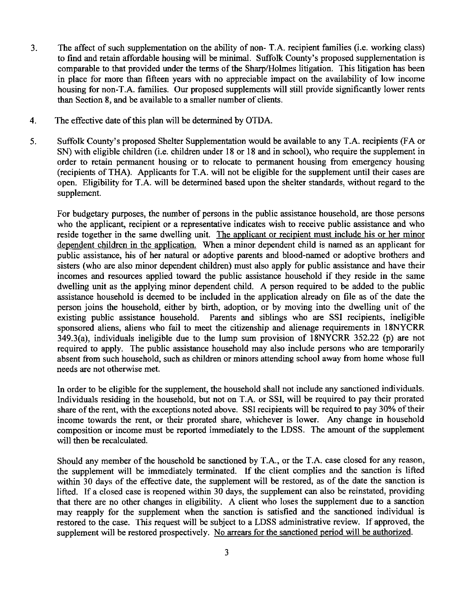- 3. The affect of such supplementation on the ability of non- T.A. recipient families (i.e. working class) to find and retain affordable housing will be minimal. Suffolk County's proposed supplementation is comparable to that provided under the terms of the Sharp/Holmes litigation. This litigation has been in place for more than fifteen years with no appreciable impact on the availability of low income housing for non-T.A. families. Our proposed supplements will still provide significantly lower rents than Section 8, and be available to a smaller number of clients.
- 4. The effective date of this plan will be determined by OTDA.
- 5. Suffolk County's proposed Shelter Supplementation would be available to any T.A. recipients (FA or SN) with eligible children (i.e. children under 18 or 18 and in school), who require the supplement in order to retain permanent housing or to relocate to permanent housing from emergency housing (recipients of THA). Applicants for T.A. will not be eligible for the supplement until their cases are open. Eligibility for T.A. will be determined based upon the shelter standards, without regard to the supplement.

For budgetary purposes, the number of persons in the public assistance household, are those persons who the applicant, recipient or a representative indicates wish to receive public assistance and who reside together in the same dwelling unit. The applicant or recipient must include his or her minor dependent children in the application. When a minor dependent child is named as an applicant for public assistance, his of her natural or adoptive parents and blood-named or adoptive brothers and sisters (who are also minor dependent children) must also apply for public assistance and have their incomes and resources applied toward the public assistance household if they reside in the same dwelling unit as the applying minor dependent child. A person required to be added to the public assistance household is deemed to be included in the application already on file as of the date the person joins the household, either by birth, adoption, or by moving into the dwelling unit of the existing public assistance household. Parents and siblings who are SSI recipients, ineligible sponsored aliens, aliens who fail to meet the citizenship and alienage requirements in 18NYCRR  $349.3(a)$ , individuals ineligible due to the lump sum provision of  $18NYCRR$  352.22 (p) are not required to apply. The public assistance household may also include persons who are temporarily absent from such household, such as children or minors attending school away from home whose full needs are not otherwise met.

In order to be eligible for the supplement, the household shall not include any sanctioned individuals. Individuals residing in the household, but not on T.A. or SSI, will be required to pay their prorated share of the rent, with the exceptions noted above. SSI recipients will be required to pay 30% of their income towards the rent, or their prorated share, whichever is lower. Any change in household composition or income must be reported immediately to the LDSS. The amount of the supplement will then be recalculated.

Should any member of the household be sanctioned by T.A., or the T.A. case closed for any reason, the supplement will be immediately terminated. If the client complies and the sanction is lifted within 30 days of the effective date, the supplement will be restored, as of the date the sanction is lifted. If a closed case is reopened within 30 days, the supplement can also be reinstated, providing that there are no other changes in eligibility. A client who loses the supplement due to a sanction may reapply for the supplement when the sanction is satisfied and the sanctioned individual is restored to the case. This request will be subject to a LDSS administrative review. If approved, the supplement will be restored prospectively. No arrears for the sanctioned period will be authorized.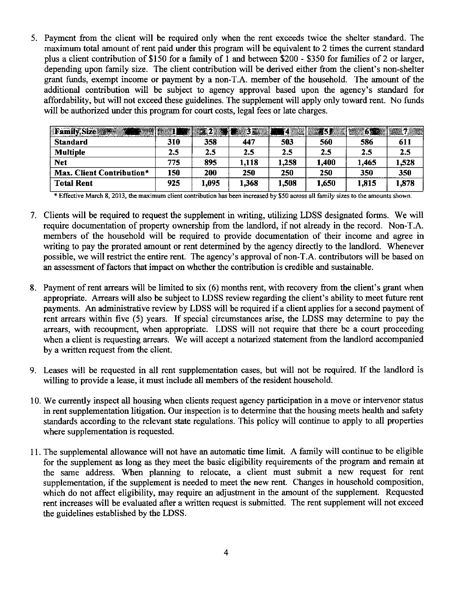5. Payment from the client will be required only when the rent exceeds twice the shelter standard. The maximum total amount of rent paid under this program will be equivalent to 2 times the current standard plus a client contribution of \$150 for a family of 1 and between \$200 - \$350 for families of 2 or larger, depending upon family size. The client contribution will be derived either from the client's non-shelter grant funds, exempt income or payment by a non-T.A. member of the household. The amount of the additional contribution will be subject to agency approval based upon the agency's standard for affordability, but will not exceed these guidelines. The supplement will apply only toward rent. No funds will be authorized under this program for court costs, legal fees or late charges.

| Family, Size              |     |       | $\blacksquare$ 3.1.1.1 |         |       | 怒怨    |       |
|---------------------------|-----|-------|------------------------|---------|-------|-------|-------|
| <b>Standard</b>           | 310 | 358   | 447                    | 503     | 560   | 586   | 611   |
| <b>Multiple</b>           | 2.5 | 2.5   | 2.5                    | $2.5\,$ | 2.5   | 2.5   | 2.5   |
| <b>Net</b>                | 775 | 895   | 1,118                  | 1,258   | 1,400 | 1,465 | 1,528 |
| Max. Client Contribution* | 150 | 200   | 250                    | 250     | 250   | 350   | 350   |
| <b>Total Rent</b>         | 925 | 1,095 | 1,368                  | 1,508   | 1,650 | 1,815 | 1,878 |

\* Effective March 8, 2013, the maximum client contribution has been increased by \$50 across all family sizes to the amounts shown.

- 7. Clients will be required to request the supplement in writing, utilizing LDSS designated forms. We will require documentation of property ownership from the landlord, if not already in the record. Non-T.A. members of the household will be required to provide documentation of their income and agree in writing to pay the prorated amount or rent determined by the agency directly to the landlord. Whenever possible, we will restrict the entire rent. The agency's approval of non- T.A. contributors will be based on an assessment of factors that impact on whether the contribution is credible and sustainable.
- 8. Payment of rent arrears will be limited to six (6) months rent, with recovery from the client's grant when appropriate. Arrears will also be subject to LDSS review regarding the client's ability to meet future rent payments. An administrative review by LDSS will be required if a client applies for a second payment of rent arrears within five (5) years. If special circumstances arise, the LDSS may determine to pay the arrears, with recoupment, when appropriate. LDSS will not require that there be a court proceeding when a client is requesting arrears. We will accept a notarized statement from the landlord accompanied by a written request from the client.
- 9. Leases will be requested in all rent supplementation cases, but will not be required. If the landlord is willing to provide a lease, it must include all members of the resident household.
- 10. We currently inspect all housing when clients request agency participation in a move or intervenor status in rent supplementation litigation. Our inspection is to determine that the housing meets health and safety standards according to the relevant state regulations. This policy will continue to apply to all properties where supplementation is requested.
- 11. The supplemental allowance will not have an automatic time limit. A family will continue to be eligible for the supplement as long as they meet the basic eligibility requirements of the program and remain at the same address. When planning to relocate, a client must submit a new request for rent supplementation, if the supplement is needed to meet the new rent. Changes in household composition, which do not affect eligibility, may require an adjustment in the amount of the supplement. Requested rent increases will be evaluated after a written request is submitted. The rent supplement will not exceed the guidelines established by the LDSS.